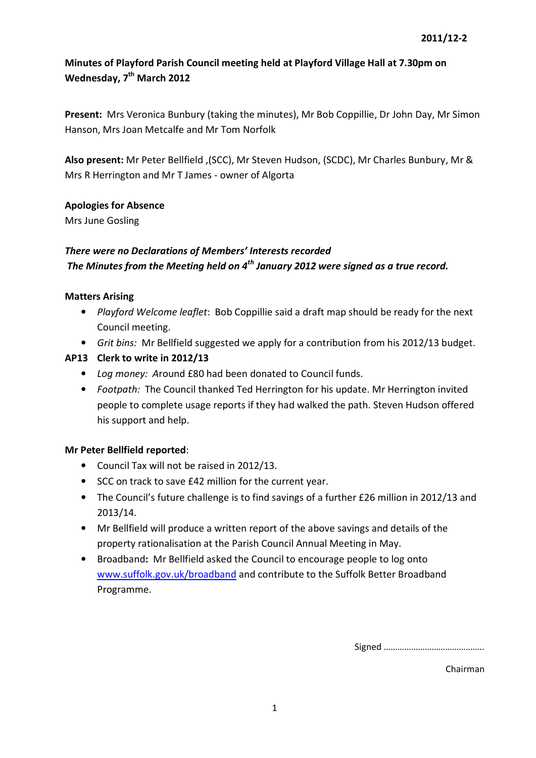Present: Mrs Veronica Bunbury (taking the minutes), Mr Bob Coppillie, Dr John Day, Mr Simon Hanson, Mrs Joan Metcalfe and Mr Tom Norfolk

Also present: Mr Peter Bellfield ,(SCC), Mr Steven Hudson, (SCDC), Mr Charles Bunbury, Mr & Mrs R Herrington and Mr T James - owner of Algorta

## Apologies for Absence

Mrs June Gosling

# There were no Declarations of Members' Interests recorded The Minutes from the Meeting held on  $4<sup>th</sup>$  January 2012 were signed as a true record.

#### Matters Arising

- Playford Welcome leaflet: Bob Coppillie said a draft map should be ready for the next Council meeting.
- Grit bins: Mr Bellfield suggested we apply for a contribution from his 2012/13 budget.

## AP13 Clerk to write in 2012/13

- Log money: Around £80 had been donated to Council funds.
- Footpath: The Council thanked Ted Herrington for his update. Mr Herrington invited people to complete usage reports if they had walked the path. Steven Hudson offered his support and help.

#### Mr Peter Bellfield reported:

- Council Tax will not be raised in 2012/13.
- SCC on track to save £42 million for the current year.
- The Council's future challenge is to find savings of a further £26 million in 2012/13 and 2013/14.
- Mr Bellfield will produce a written report of the above savings and details of the property rationalisation at the Parish Council Annual Meeting in May.
- Broadband: Mr Bellfield asked the Council to encourage people to log onto www.suffolk.gov.uk/broadband and contribute to the Suffolk Better Broadband Programme.

Signed ……………………………………..

Chairman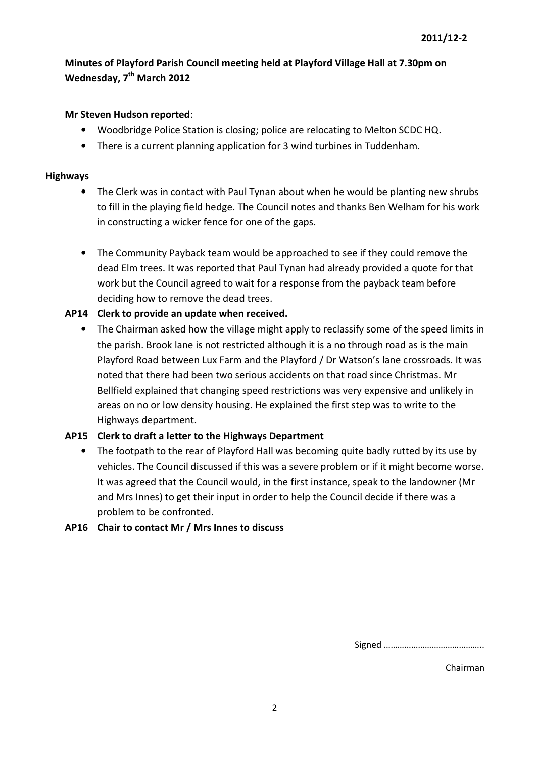#### Mr Steven Hudson reported:

- Woodbridge Police Station is closing; police are relocating to Melton SCDC HQ.
- There is a current planning application for 3 wind turbines in Tuddenham.

#### Highways

- The Clerk was in contact with Paul Tynan about when he would be planting new shrubs to fill in the playing field hedge. The Council notes and thanks Ben Welham for his work in constructing a wicker fence for one of the gaps.
- The Community Payback team would be approached to see if they could remove the dead Elm trees. It was reported that Paul Tynan had already provided a quote for that work but the Council agreed to wait for a response from the payback team before deciding how to remove the dead trees.

## AP14 Clerk to provide an update when received.

• The Chairman asked how the village might apply to reclassify some of the speed limits in the parish. Brook lane is not restricted although it is a no through road as is the main Playford Road between Lux Farm and the Playford / Dr Watson's lane crossroads. It was noted that there had been two serious accidents on that road since Christmas. Mr Bellfield explained that changing speed restrictions was very expensive and unlikely in areas on no or low density housing. He explained the first step was to write to the Highways department.

## AP15 Clerk to draft a letter to the Highways Department

• The footpath to the rear of Playford Hall was becoming quite badly rutted by its use by vehicles. The Council discussed if this was a severe problem or if it might become worse. It was agreed that the Council would, in the first instance, speak to the landowner (Mr and Mrs Innes) to get their input in order to help the Council decide if there was a problem to be confronted.

## AP16 Chair to contact Mr / Mrs Innes to discuss

Signed ……………………………………..

Chairman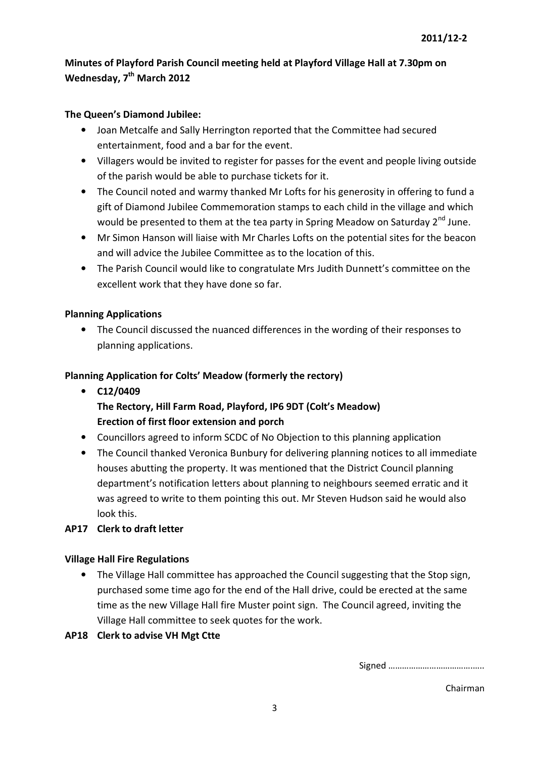## The Queen's Diamond Jubilee:

- Joan Metcalfe and Sally Herrington reported that the Committee had secured entertainment, food and a bar for the event.
- Villagers would be invited to register for passes for the event and people living outside of the parish would be able to purchase tickets for it.
- The Council noted and warmy thanked Mr Lofts for his generosity in offering to fund a gift of Diamond Jubilee Commemoration stamps to each child in the village and which would be presented to them at the tea party in Spring Meadow on Saturday 2<sup>nd</sup> June.
- Mr Simon Hanson will liaise with Mr Charles Lofts on the potential sites for the beacon and will advice the Jubilee Committee as to the location of this.
- The Parish Council would like to congratulate Mrs Judith Dunnett's committee on the excellent work that they have done so far.

# Planning Applications

• The Council discussed the nuanced differences in the wording of their responses to planning applications.

# Planning Application for Colts' Meadow (formerly the rectory)

- C12/0409 The Rectory, Hill Farm Road, Playford, IP6 9DT (Colt's Meadow) Erection of first floor extension and porch
- Councillors agreed to inform SCDC of No Objection to this planning application
- The Council thanked Veronica Bunbury for delivering planning notices to all immediate houses abutting the property. It was mentioned that the District Council planning department's notification letters about planning to neighbours seemed erratic and it was agreed to write to them pointing this out. Mr Steven Hudson said he would also look this.

## AP17 Clerk to draft letter

## Village Hall Fire Regulations

• The Village Hall committee has approached the Council suggesting that the Stop sign, purchased some time ago for the end of the Hall drive, could be erected at the same time as the new Village Hall fire Muster point sign. The Council agreed, inviting the Village Hall committee to seek quotes for the work.

## AP18 Clerk to advise VH Mgt Ctte

Signed ……………………………….…..

Chairman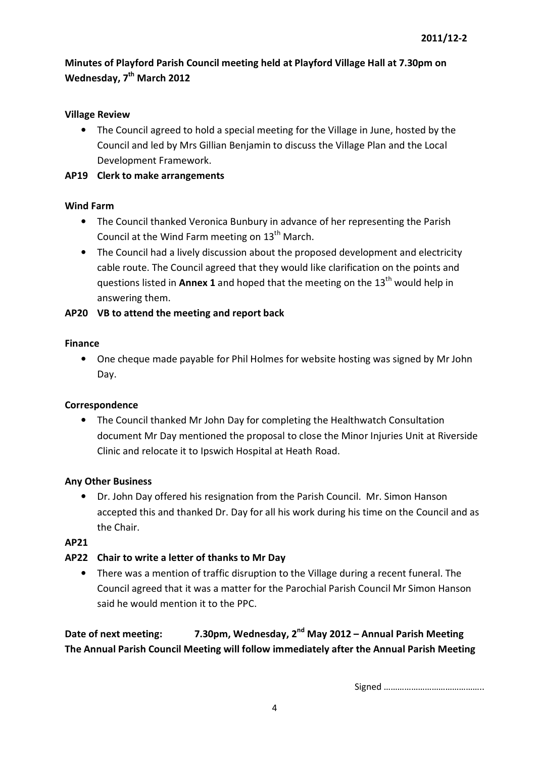## Village Review

• The Council agreed to hold a special meeting for the Village in June, hosted by the Council and led by Mrs Gillian Benjamin to discuss the Village Plan and the Local Development Framework.

#### AP19 Clerk to make arrangements

#### Wind Farm

- The Council thanked Veronica Bunbury in advance of her representing the Parish Council at the Wind Farm meeting on  $13<sup>th</sup>$  March.
- The Council had a lively discussion about the proposed development and electricity cable route. The Council agreed that they would like clarification on the points and questions listed in Annex 1 and hoped that the meeting on the  $13<sup>th</sup>$  would help in answering them.

## AP20 VB to attend the meeting and report back

#### Finance

• One cheque made payable for Phil Holmes for website hosting was signed by Mr John Day.

## Correspondence

• The Council thanked Mr John Day for completing the Healthwatch Consultation document Mr Day mentioned the proposal to close the Minor Injuries Unit at Riverside Clinic and relocate it to Ipswich Hospital at Heath Road.

#### Any Other Business

• Dr. John Day offered his resignation from the Parish Council. Mr. Simon Hanson accepted this and thanked Dr. Day for all his work during his time on the Council and as the Chair.

#### AP21

## AP22 Chair to write a letter of thanks to Mr Day

• There was a mention of traffic disruption to the Village during a recent funeral. The Council agreed that it was a matter for the Parochial Parish Council Mr Simon Hanson said he would mention it to the PPC.

Date of next meeting: 7.30pm, Wednesday, 2<sup>nd</sup> May 2012 – Annual Parish Meeting The Annual Parish Council Meeting will follow immediately after the Annual Parish Meeting

Signed ……………………………………..